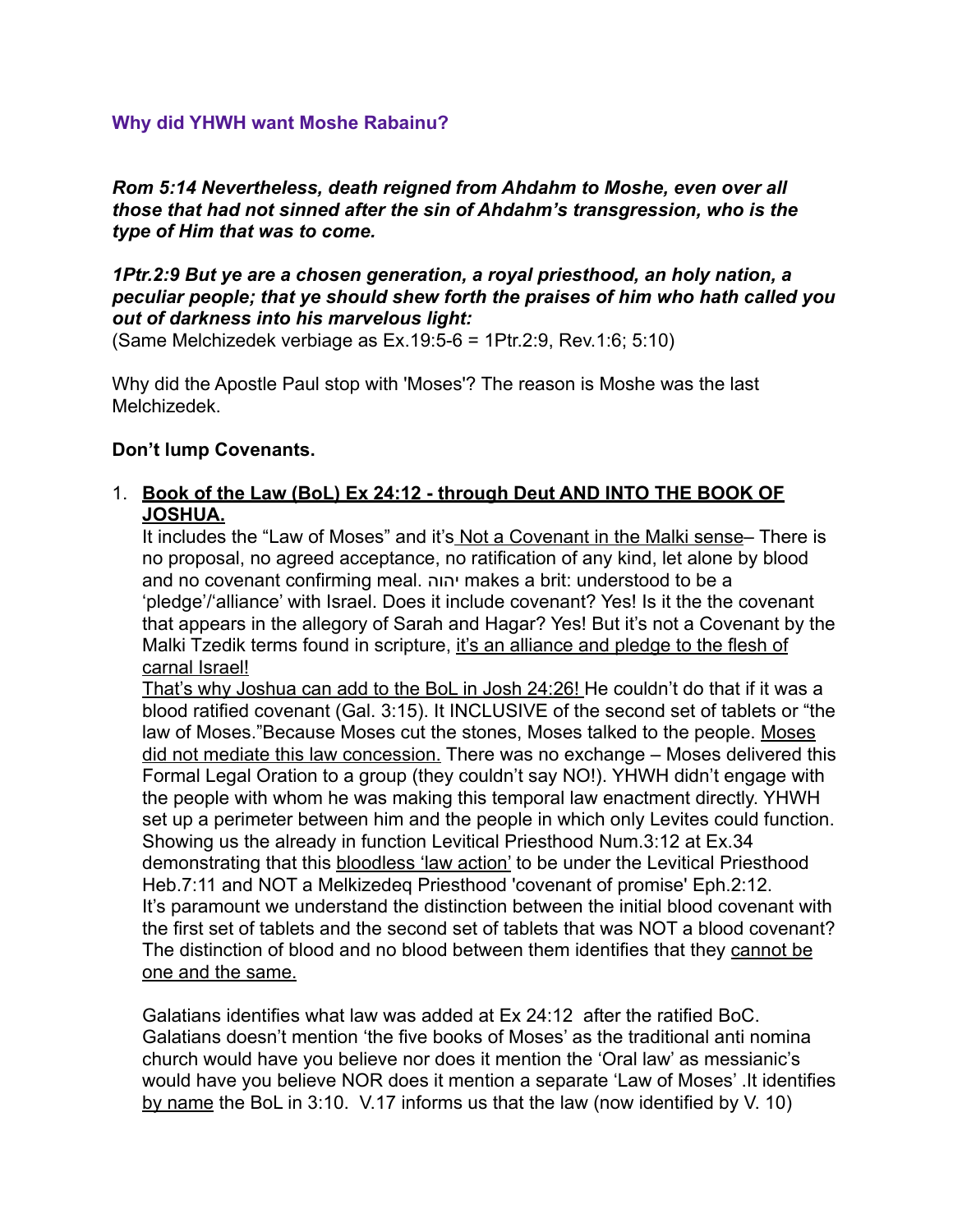#### **Why did YHWH want Moshe Rabainu?**

*Rom 5:14 Nevertheless, death reigned from Ahdahm to Moshe, even over all those that had not sinned after the sin of Ahdahm's transgression, who is the type of Him that was to come.* 

### *1Ptr.2:9 But ye are a chosen generation, a royal priesthood, an holy nation, a peculiar people; that ye should shew forth the praises of him who hath called you out of darkness into his marvelous light:*

(Same Melchizedek verbiage as Ex.19:5-6 = 1Ptr.2:9, Rev.1:6; 5:10)

Why did the Apostle Paul stop with 'Moses'? The reason is Moshe was the last Melchizedek.

#### **Don't lump Covenants.**

# 1. **Book of the Law (BoL) Ex 24:12 - through Deut AND INTO THE BOOK OF JOSHUA.**

It includes the "Law of Moses" and it's Not a Covenant in the Malki sense– There is no proposal, no agreed acceptance, no ratification of any kind, let alone by blood and no covenant confirming meal. יהוה makes a brit: understood to be a 'pledge'/'alliance' with Israel. Does it include covenant? Yes! Is it the the covenant that appears in the allegory of Sarah and Hagar? Yes! But it's not a Covenant by the Malki Tzedik terms found in scripture, it's an alliance and pledge to the flesh of carnal Israel!

That's why Joshua can add to the BoL in Josh 24:26! He couldn't do that if it was a blood ratified covenant (Gal. 3:15). It INCLUSIVE of the second set of tablets or "the law of Moses."Because Moses cut the stones, Moses talked to the people. Moses did not mediate this law concession. There was no exchange – Moses delivered this Formal Legal Oration to a group (they couldn't say NO!). YHWH didn't engage with the people with whom he was making this temporal law enactment directly. YHWH set up a perimeter between him and the people in which only Levites could function. Showing us the already in function Levitical Priesthood Num.3:12 at Ex.34 demonstrating that this bloodless 'law action' to be under the Levitical Priesthood Heb.7:11 and NOT a Melkizedeq Priesthood 'covenant of promise' Eph.2:12. It's paramount we understand the distinction between the initial blood covenant with the first set of tablets and the second set of tablets that was NOT a blood covenant? The distinction of blood and no blood between them identifies that they cannot be one and the same.

Galatians identifies what law was added at Ex 24:12 after the ratified BoC. Galatians doesn't mention 'the five books of Moses' as the traditional anti nomina church would have you believe nor does it mention the 'Oral law' as messianic's would have you believe NOR does it mention a separate 'Law of Moses' .It identifies by name the BoL in 3:10. V.17 informs us that the law (now identified by V. 10)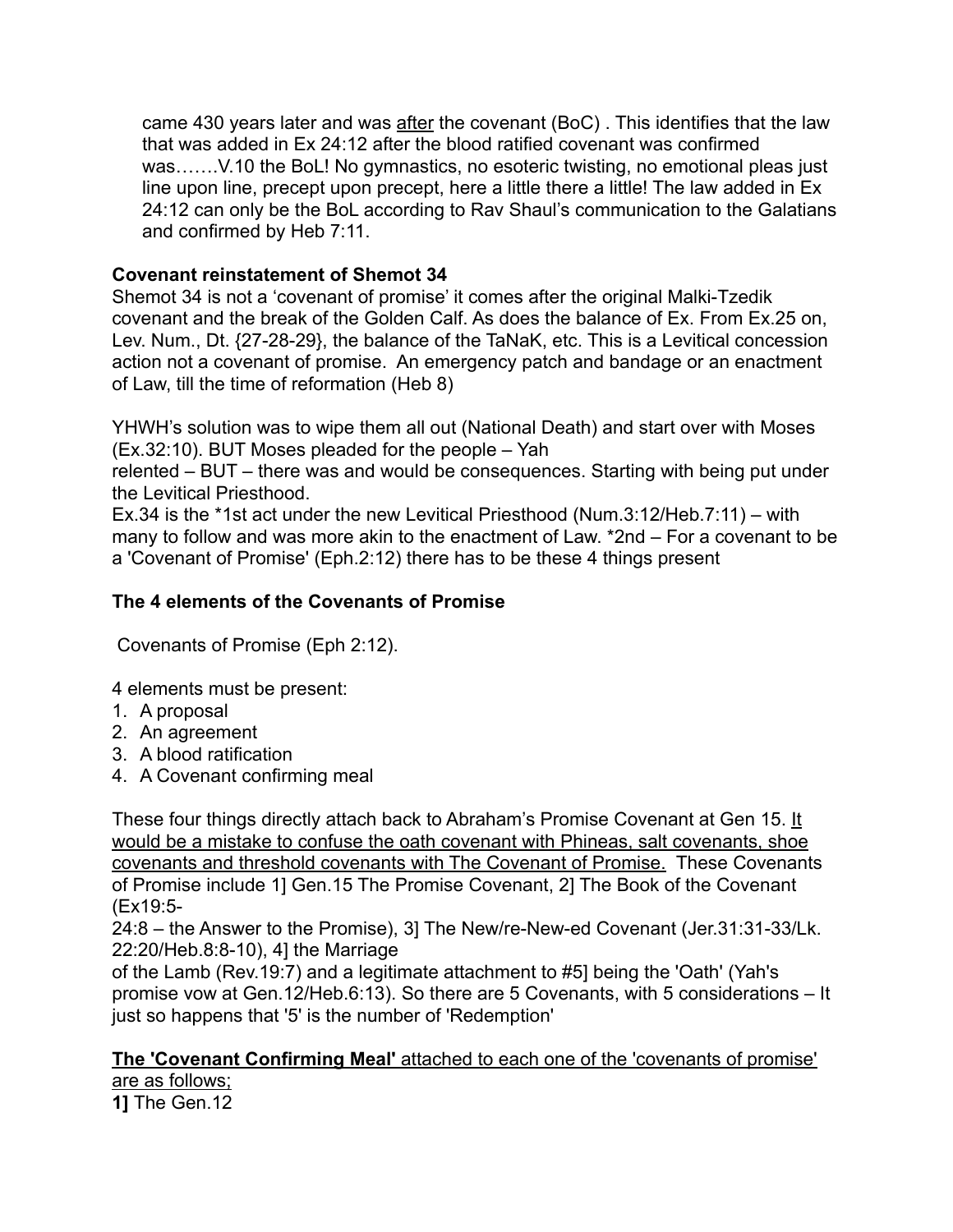came 430 years later and was after the covenant (BoC) . This identifies that the law that was added in Ex 24:12 after the blood ratified covenant was confirmed was…….V.10 the BoL! No gymnastics, no esoteric twisting, no emotional pleas just line upon line, precept upon precept, here a little there a little! The law added in Ex 24:12 can only be the BoL according to Rav Shaul's communication to the Galatians and confirmed by Heb 7:11.

# **Covenant reinstatement of Shemot 34**

Shemot 34 is not a 'covenant of promise' it comes after the original Malki-Tzedik covenant and the break of the Golden Calf. As does the balance of Ex. From Ex.25 on, Lev. Num., Dt. {27-28-29}, the balance of the TaNaK, etc. This is a Levitical concession action not a covenant of promise. An emergency patch and bandage or an enactment of Law, till the time of reformation (Heb 8)

YHWH's solution was to wipe them all out (National Death) and start over with Moses (Ex.32:10). BUT Moses pleaded for the people – Yah

relented – BUT – there was and would be consequences. Starting with being put under the Levitical Priesthood.

Ex.34 is the \*1st act under the new Levitical Priesthood (Num.3:12/Heb.7:11) – with many to follow and was more akin to the enactment of Law. \*2nd – For a covenant to be a 'Covenant of Promise' (Eph.2:12) there has to be these 4 things present

# **The 4 elements of the Covenants of Promise**

Covenants of Promise (Eph 2:12).

4 elements must be present:

- 1. A proposal
- 2. An agreement
- 3. A blood ratification
- 4. A Covenant confirming meal

These four things directly attach back to Abraham's Promise Covenant at Gen 15. It would be a mistake to confuse the oath covenant with Phineas, salt covenants, shoe covenants and threshold covenants with The Covenant of Promise. These Covenants of Promise include 1] Gen.15 The Promise Covenant, 2] The Book of the Covenant (Ex19:5-

24:8 – the Answer to the Promise), 3] The New/re-New-ed Covenant (Jer.31:31-33/Lk. 22:20/Heb.8:8-10), 4] the Marriage

of the Lamb (Rev.19:7) and a legitimate attachment to #5] being the 'Oath' (Yah's promise vow at Gen.12/Heb.6:13). So there are 5 Covenants, with 5 considerations – It just so happens that '5' is the number of 'Redemption'

# **The 'Covenant Confirming Meal'** attached to each one of the 'covenants of promise'

are as follows; **1]** The Gen.12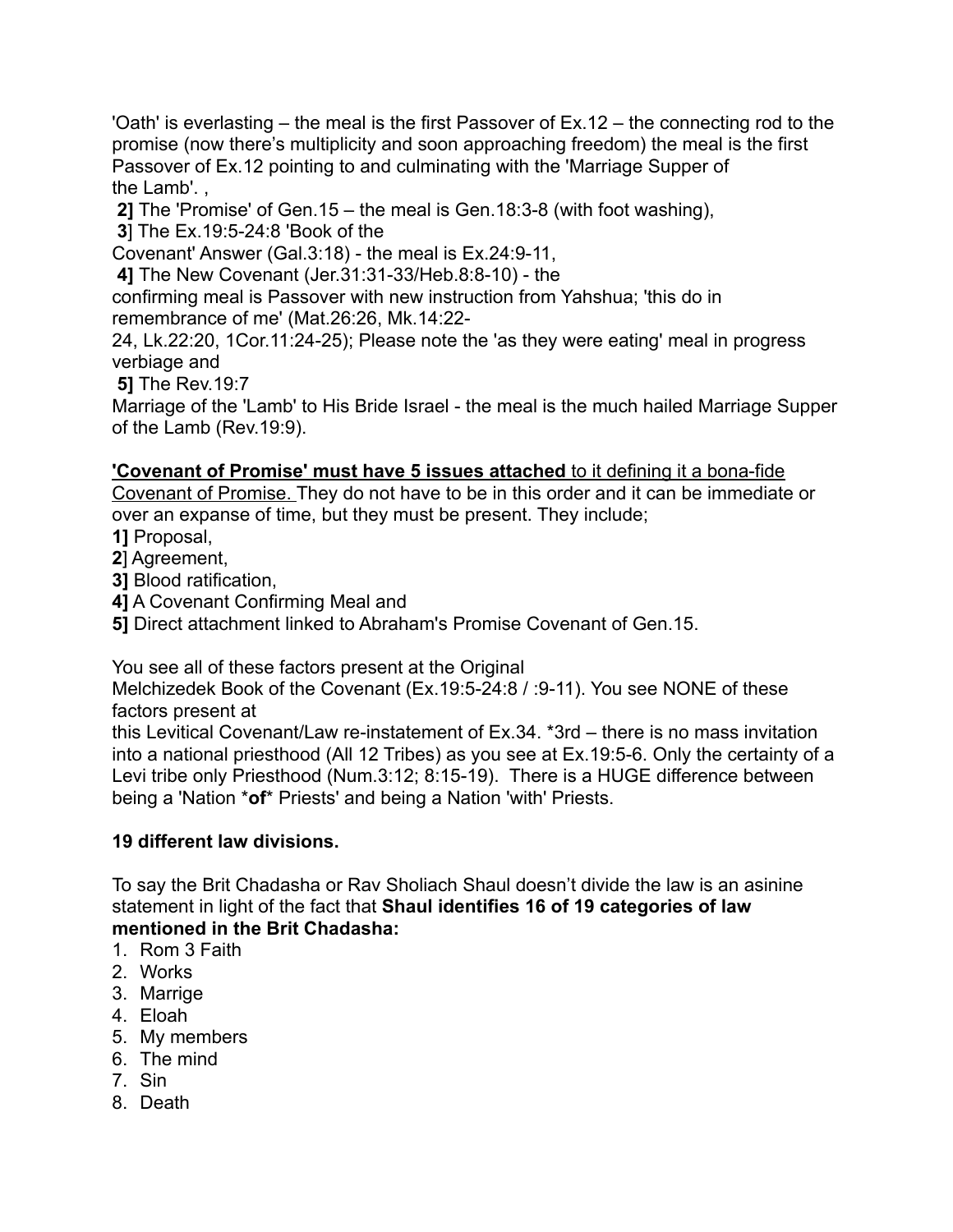'Oath' is everlasting – the meal is the first Passover of Ex.12 – the connecting rod to the promise (now there's multiplicity and soon approaching freedom) the meal is the first Passover of Ex.12 pointing to and culminating with the 'Marriage Supper of the Lamb'. ,

 **2]** The 'Promise' of Gen.15 – the meal is Gen.18:3-8 (with foot washing),

 **3**] The Ex.19:5-24:8 'Book of the

Covenant' Answer (Gal.3:18) - the meal is Ex.24:9-11,

 **4]** The New Covenant (Jer.31:31-33/Heb.8:8-10) - the

confirming meal is Passover with new instruction from Yahshua; 'this do in remembrance of me' (Mat.26:26, Mk.14:22-

24, Lk.22:20, 1Cor.11:24-25); Please note the 'as they were eating' meal in progress verbiage and

 **5]** The Rev.19:7

Marriage of the 'Lamb' to His Bride Israel - the meal is the much hailed Marriage Supper of the Lamb (Rev.19:9).

# **'Covenant of Promise' must have 5 issues attached** to it defining it a bona-fide

Covenant of Promise. They do not have to be in this order and it can be immediate or over an expanse of time, but they must be present. They include;

**1]** Proposal,

**2**] Agreement,

**3]** Blood ratification,

**4]** A Covenant Confirming Meal and

**5]** Direct attachment linked to Abraham's Promise Covenant of Gen.15.

You see all of these factors present at the Original

Melchizedek Book of the Covenant (Ex.19:5-24:8 / :9-11). You see NONE of these factors present at

this Levitical Covenant/Law re-instatement of Ex.34. \*3rd – there is no mass invitation into a national priesthood (All 12 Tribes) as you see at Ex.19:5-6. Only the certainty of a Levi tribe only Priesthood (Num.3:12; 8:15-19). There is a HUGE difference between being a 'Nation \***of**\* Priests' and being a Nation 'with' Priests.

# **19 different law divisions.**

To say the Brit Chadasha or Rav Sholiach Shaul doesn't divide the law is an asinine statement in light of the fact that **Shaul identifies 16 of 19 categories of law mentioned in the Brit Chadasha:** 

- 1. Rom 3 Faith
- 2. Works
- 3. Marrige
- 4. Eloah
- 5. My members
- 6. The mind
- 7. Sin
- 8. Death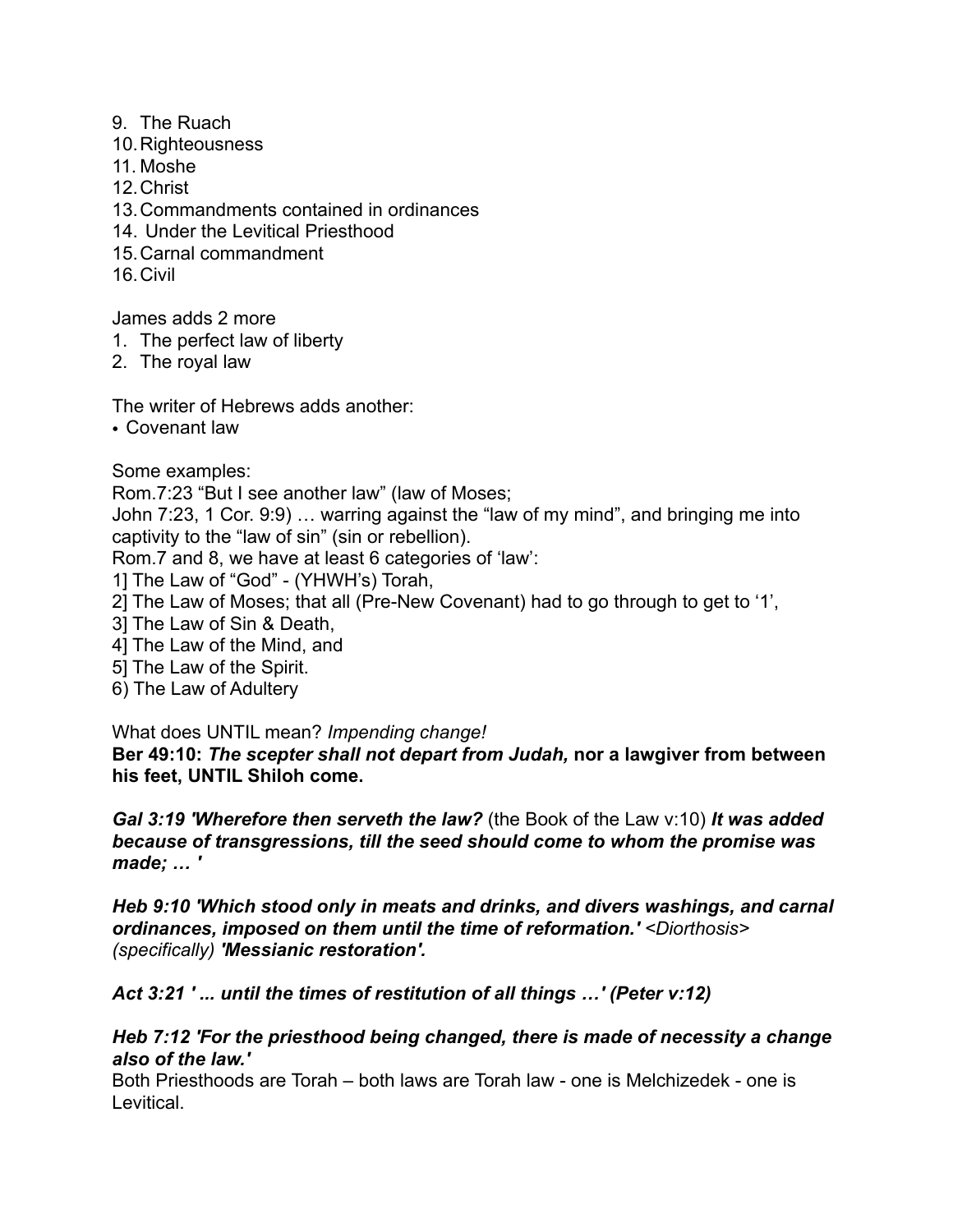#### 9. The Ruach

- 10.Righteousness
- 11. Moshe
- 12.Christ
- 13.Commandments contained in ordinances
- 14. Under the Levitical Priesthood
- 15.Carnal commandment
- 16.Civil

James adds 2 more

- 1. The perfect law of liberty
- 2. The royal law

The writer of Hebrews adds another:

• Covenant law

Some examples:

Rom.7:23 "But I see another law" (law of Moses;

John 7:23, 1 Cor. 9:9) … warring against the "law of my mind", and bringing me into captivity to the "law of sin" (sin or rebellion).

Rom.7 and 8, we have at least 6 categories of 'law':

- 1] The Law of "God" (YHWH's) Torah,
- 2] The Law of Moses; that all (Pre-New Covenant) had to go through to get to '1',
- 3] The Law of Sin & Death,
- 4] The Law of the Mind, and
- 5] The Law of the Spirit.
- 6) The Law of Adultery

# What does UNTIL mean? *Impending change!*

**Ber 49:10:** *The scepter shall not depart from Judah,* **nor a lawgiver from between his feet, UNTIL Shiloh come.** 

*Gal 3:19 'Wherefore then serveth the law?* (the Book of the Law v:10) *It was added because of transgressions, till the seed should come to whom the promise was made; … '* 

*Heb 9:10 'Which stood only in meats and drinks, and divers washings, and carnal ordinances, imposed on them until the time of reformation.' <Diorthosis> (specifically) 'Messianic restoration'.* 

*Act 3:21 ' ... until the times of restitution of all things …' (Peter v:12)* 

#### *Heb 7:12 'For the priesthood being changed, there is made of necessity a change also of the law.'*

Both Priesthoods are Torah – both laws are Torah law - one is Melchizedek - one is Levitical.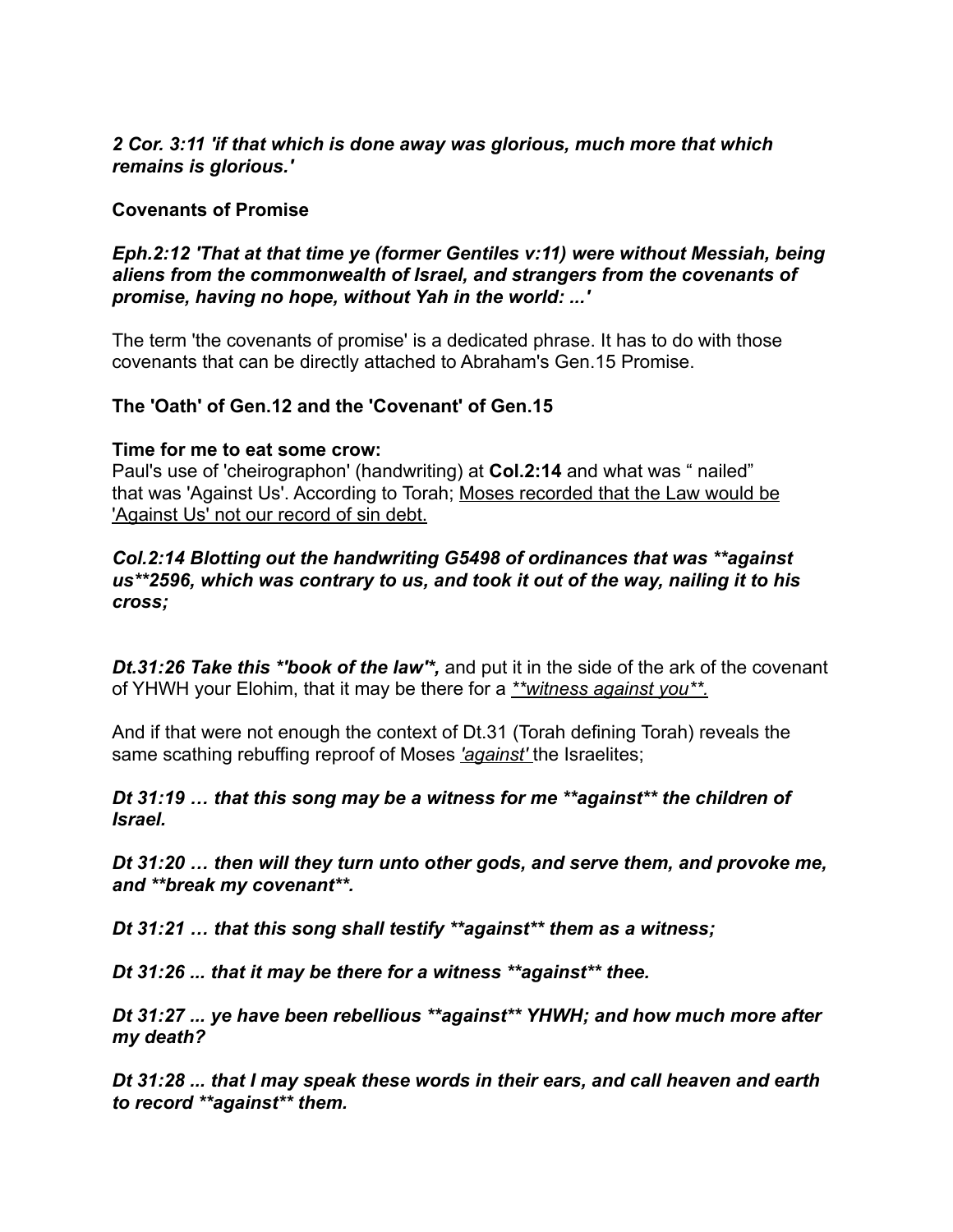#### *2 Cor. 3:11 'if that which is done away was glorious, much more that which remains is glorious.'*

### **Covenants of Promise**

*Eph.2:12 'That at that time ye (former Gentiles v:11) were without Messiah, being aliens from the commonwealth of Israel, and strangers from the covenants of promise, having no hope, without Yah in the world: ...'* 

The term 'the covenants of promise' is a dedicated phrase. It has to do with those covenants that can be directly attached to Abraham's Gen.15 Promise.

#### **The 'Oath' of Gen.12 and the 'Covenant' of Gen.15**

#### **Time for me to eat some crow:**

Paul's use of 'cheirographon' (handwriting) at **Col.2:14** and what was " nailed" that was 'Against Us'. According to Torah; Moses recorded that the Law would be 'Against Us' not our record of sin debt.

#### *Col.2:14 Blotting out the handwriting G5498 of ordinances that was \*\*against us\*\*2596, which was contrary to us, and took it out of the way, nailing it to his cross;*

*Dt.31:26 Take this \*'book of the law'\*,* and put it in the side of the ark of the covenant of YHWH your Elohim, that it may be there for a *\*\*witness against you\*\*.* 

And if that were not enough the context of Dt.31 (Torah defining Torah) reveals the same scathing rebuffing reproof of Moses *'against'* the Israelites;

#### *Dt 31:19 … that this song may be a witness for me \*\*against\*\* the children of Israel.*

*Dt 31:20 … then will they turn unto other gods, and serve them, and provoke me, and \*\*break my covenant\*\*.* 

*Dt 31:21 … that this song shall testify \*\*against\*\* them as a witness;* 

*Dt 31:26 ... that it may be there for a witness \*\*against\*\* thee.* 

*Dt 31:27 ... ye have been rebellious \*\*against\*\* YHWH; and how much more after my death?* 

*Dt 31:28 ... that I may speak these words in their ears, and call heaven and earth to record \*\*against\*\* them.*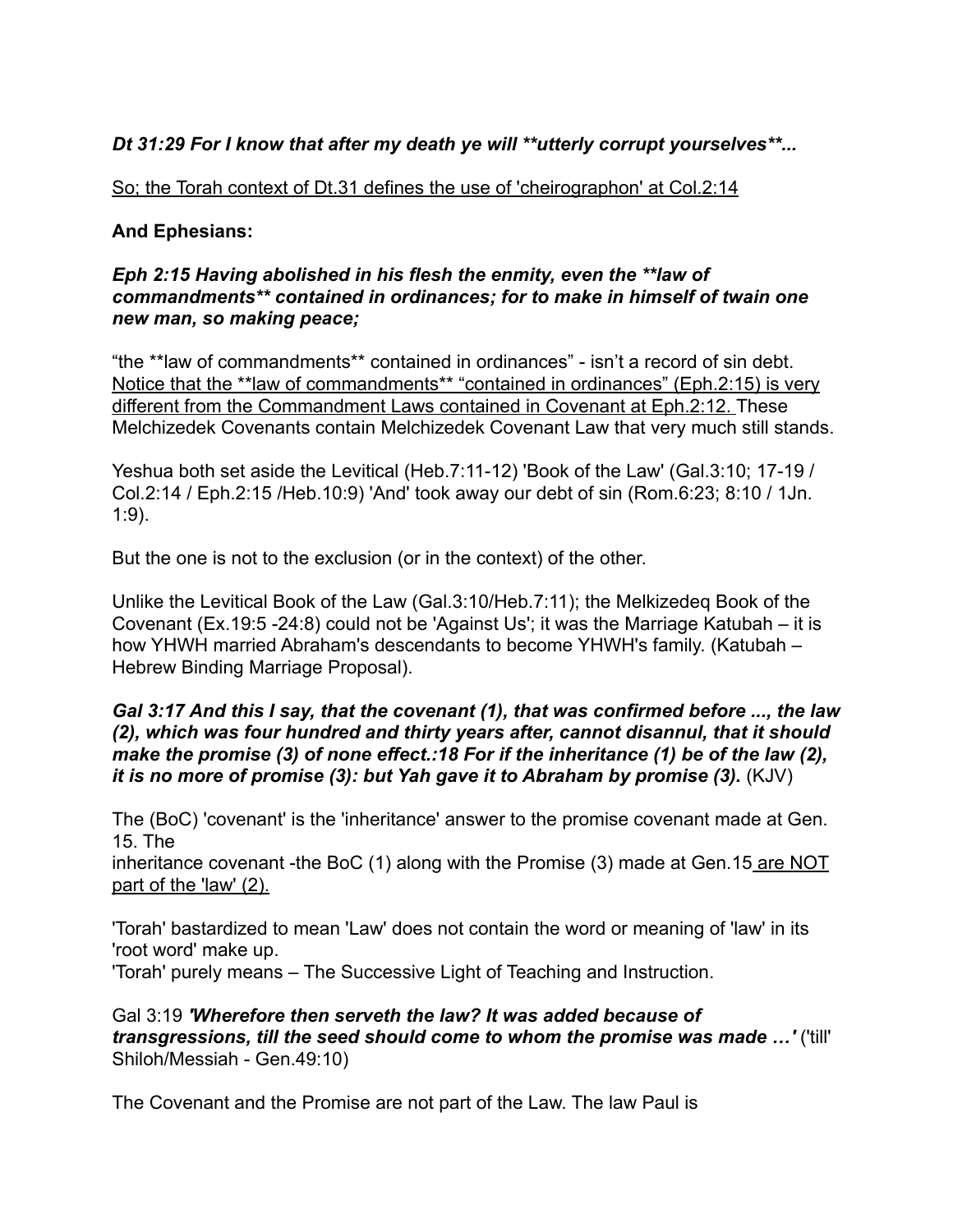# *Dt 31:29 For I know that after my death ye will \*\*utterly corrupt yourselves\*\*...*

#### So; the Torah context of Dt.31 defines the use of 'cheirographon' at Col.2:14

#### **And Ephesians:**

#### *Eph 2:15 Having abolished in his flesh the enmity, even the \*\*law of commandments\*\* contained in ordinances; for to make in himself of twain one new man, so making peace;*

"the \*\*law of commandments\*\* contained in ordinances" - isn't a record of sin debt. Notice that the \*\*law of commandments\*\* "contained in ordinances" (Eph.2:15) is very different from the Commandment Laws contained in Covenant at Eph.2:12. These Melchizedek Covenants contain Melchizedek Covenant Law that very much still stands.

Yeshua both set aside the Levitical (Heb.7:11-12) 'Book of the Law' (Gal.3:10; 17-19 / Col.2:14 / Eph.2:15 /Heb.10:9) 'And' took away our debt of sin (Rom.6:23; 8:10 / 1Jn. 1:9).

But the one is not to the exclusion (or in the context) of the other.

Unlike the Levitical Book of the Law (Gal.3:10/Heb.7:11); the Melkizedeq Book of the Covenant (Ex.19:5 -24:8) could not be 'Against Us'; it was the Marriage Katubah – it is how YHWH married Abraham's descendants to become YHWH's family. (Katubah – Hebrew Binding Marriage Proposal).

#### *Gal 3:17 And this I say, that the covenant (1), that was confirmed before ..., the law (2), which was four hundred and thirty years after, cannot disannul, that it should make the promise (3) of none effect.:18 For if the inheritance (1) be of the law (2), it is no more of promise (3): but Yah gave it to Abraham by promise (3).* (KJV)

The (BoC) 'covenant' is the 'inheritance' answer to the promise covenant made at Gen. 15. The

inheritance covenant -the BoC (1) along with the Promise (3) made at Gen.15 are NOT part of the 'law' (2).

'Torah' bastardized to mean 'Law' does not contain the word or meaning of 'law' in its 'root word' make up.

'Torah' purely means – The Successive Light of Teaching and Instruction.

Gal 3:19 *'Wherefore then serveth the law? It was added because of transgressions, till the seed should come to whom the promise was made …'* ('till' Shiloh/Messiah - Gen.49:10)

The Covenant and the Promise are not part of the Law. The law Paul is